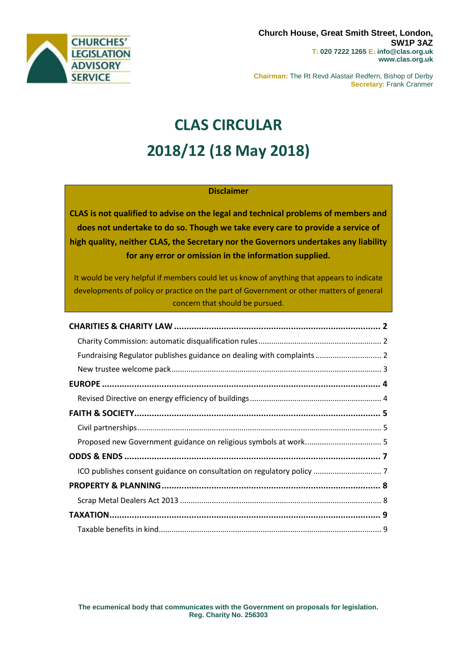

**Chairman:** The Rt Revd Alastair Redfern, Bishop of Derby **Secretary:** Frank Cranmer

# **CLAS CIRCULAR 2018/12 (18 May 2018)**

#### **Disclaimer**

**CLAS is not qualified to advise on the legal and technical problems of members and does not undertake to do so. Though we take every care to provide a service of high quality, neither CLAS, the Secretary nor the Governors undertakes any liability for any error or omission in the information supplied.**

It would be very helpful if members could let us know of anything that appears to indicate developments of policy or practice on the part of Government or other matters of general concern that should be pursued.

| Fundraising Regulator publishes guidance on dealing with complaints  2 |  |
|------------------------------------------------------------------------|--|
|                                                                        |  |
|                                                                        |  |
|                                                                        |  |
|                                                                        |  |
|                                                                        |  |
|                                                                        |  |
|                                                                        |  |
|                                                                        |  |
|                                                                        |  |
|                                                                        |  |
|                                                                        |  |
|                                                                        |  |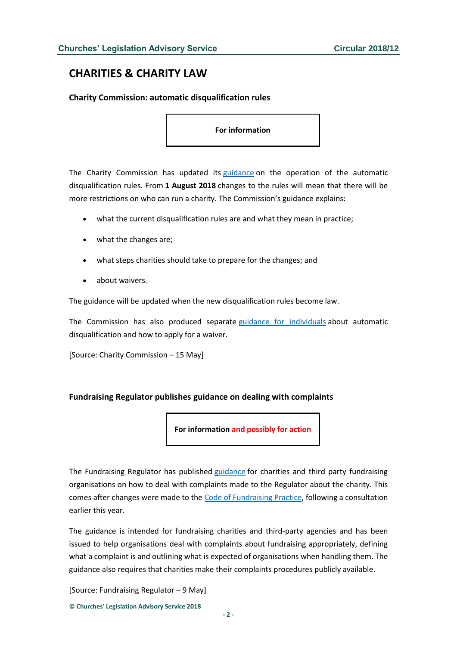# <span id="page-1-0"></span>**CHARITIES & CHARITY LAW**

#### <span id="page-1-1"></span>**Charity Commission: automatic disqualification rules**

**For information**

The Charity Commission has updated its [guidance](https://www.gov.uk/guidance/automatic-disqualification-rule-changes-guidance-for-charities?utm_source=0b3063b9-4fba-478f-8295-80bee83e9ad4&utm_medium=email&utm_campaign=govuk-notifications&utm_content=immediate) on the operation of the automatic disqualification rules. From **1 August 2018** changes to the rules will mean that there will be more restrictions on who can run a charity. The Commission's guidance explains:

- what the current disqualification rules are and what they mean in practice;
- what the changes are;
- what steps charities should take to prepare for the changes; and
- about waivers.

The guidance will be updated when the new disqualification rules become law.

The Commission has also produced separate [guidance for individuals](https://www.gov.uk/guidance/automatic-disqualification-rules-for-charity-trustees-and-charity-senior-positions) about automatic disqualification and how to apply for a waiver.

[Source: Charity Commission – 15 May]

#### <span id="page-1-2"></span>**Fundraising Regulator publishes guidance on dealing with complaints**

**For information and possibly for action**

The Fundraising Regulator has published [guidance](http://www.fundraisingregulator.org.uk/2018/05/08/fundraising-regulator-issues-guidance-on-complaints-handling-following-code-change/) for charities and third party fundraising organisations on how to deal with complaints made to the Regulator about the charity. This comes after changes were made to the [Code of Fundraising Practice,](http://www.fundraisingregulator.org.uk/code-of-fundraising-practice/code-of-fundraising-practice-v1-4-310717-docx/) following a consultation earlier this year.

The guidance is intended for fundraising charities and third-party agencies and has been issued to help organisations deal with complaints about fundraising appropriately, defining what a complaint is and outlining what is expected of organisations when handling them. The guidance also requires that charities make their complaints procedures publicly available.

[Source: Fundraising Regulator – 9 May]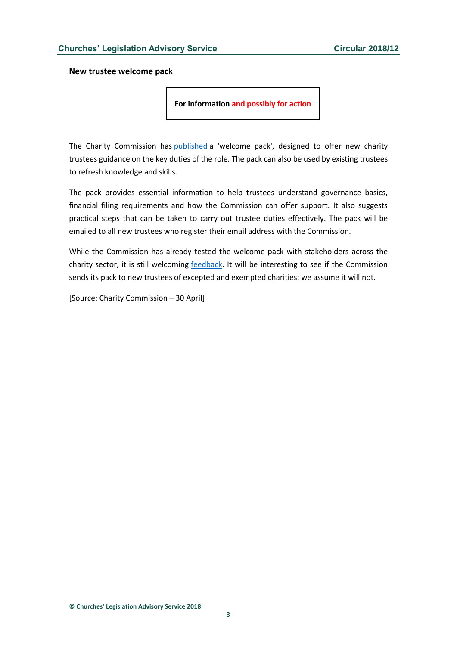<span id="page-2-0"></span>**New trustee welcome pack**

**For information and possibly for action**

The Charity Commission has [published](http://www.gov.uk/government/publications/charity-trustee-welcome-pack) a 'welcome pack', designed to offer new charity trustees guidance on the key duties of the role. The pack can also be used by existing trustees to refresh knowledge and skills.

The pack provides essential information to help trustees understand governance basics, financial filing requirements and how the Commission can offer support. It also suggests practical steps that can be taken to carry out trustee duties effectively. The pack will be emailed to all new trustees who register their email address with the Commission.

While the Commission has already tested the welcome pack with stakeholders across the charity sector, it is still welcoming [feedback.](http://www.smartsurvey.co.uk/s/trusteewelcomepackfeedback/) It will be interesting to see if the Commission sends its pack to new trustees of excepted and exempted charities: we assume it will not.

[Source: Charity Commission – 30 April]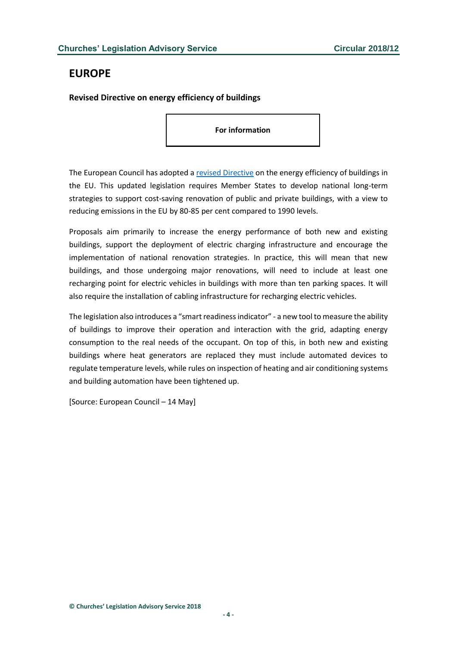# <span id="page-3-0"></span>**EUROPE**

<span id="page-3-1"></span>**Revised Directive on energy efficiency of buildings**

**For information**

The European Council has adopted a [revised Directive](http://data.consilium.europa.eu/doc/document/PE-4-2018-INIT/en/pdf) on the energy efficiency of buildings in the EU. This updated legislation requires Member States to develop national long-term strategies to support cost-saving renovation of public and private buildings, with a view to reducing emissions in the EU by 80-85 per cent compared to 1990 levels.

Proposals aim primarily to increase the energy performance of both new and existing buildings, support the deployment of electric charging infrastructure and encourage the implementation of national renovation strategies. In practice, this will mean that new buildings, and those undergoing major renovations, will need to include at least one recharging point for electric vehicles in buildings with more than ten parking spaces. It will also require the installation of cabling infrastructure for recharging electric vehicles.

The legislation also introduces a "smart readiness indicator" - a new tool to measure the ability of buildings to improve their operation and interaction with the grid, adapting energy consumption to the real needs of the occupant. On top of this, in both new and existing buildings where heat generators are replaced they must include automated devices to regulate temperature levels, while rules on inspection of heating and air conditioning systems and building automation have been tightened up.

[Source: European Council – 14 May]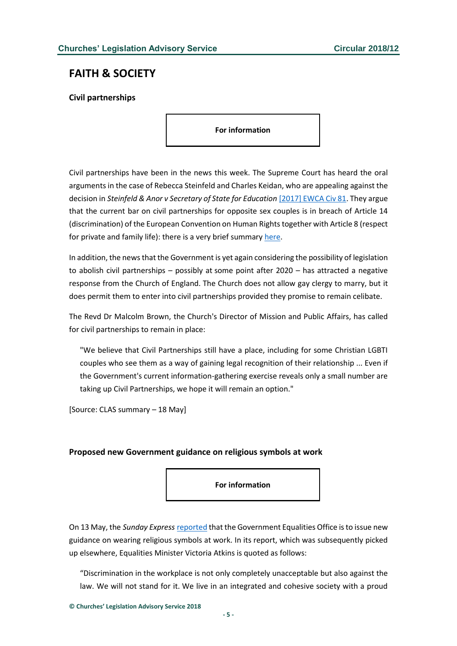# <span id="page-4-0"></span>**FAITH & SOCIETY**

<span id="page-4-1"></span>**Civil partnerships**

**For information**

Civil partnerships have been in the news this week. The Supreme Court has heard the oral arguments in the case of Rebecca Steinfeld and Charles Keidan, who are appealing against the decision in *Steinfeld & Anor v Secretary of State for Education* [\[2017\] EWCA Civ 81.](http://www.bailii.org/ew/cases/EWCA/Civ/2017/81.html) They argue that the current bar on civil partnerships for opposite sex couples is in breach of Article 14 (discrimination) of the European Convention on Human Rightstogether with Article 8 (respect for private and family life): there is a very brief summary [here.](https://www.supremecourt.uk/cases/uksc-2017-0060.html)

In addition, the news that the Government is yet again considering the possibility of legislation to abolish civil partnerships – possibly at some point after 2020 – has attracted a negative response from the Church of England. The Church does not allow gay clergy to marry, but it does permit them to enter into civil partnerships provided they promise to remain celibate.

The Revd Dr Malcolm Brown, the Church's Director of Mission and Public Affairs, has called for civil partnerships to remain in place:

"We believe that Civil Partnerships still have a place, including for some Christian LGBTI couples who see them as a way of gaining legal recognition of their relationship ... Even if the Government's current information-gathering exercise reveals only a small number are taking up Civil Partnerships, we hope it will remain an option."

[Source: CLAS summary – 18 May]

#### <span id="page-4-2"></span>**Proposed new Government guidance on religious symbols at work**

**For information**

On 13 May, the *Sunday Express* [reported](https://www.express.co.uk/news/uk/958852/christians-wear-cross-crucifix-religious-symbols-work?utm_source=Daily+Media+Digest&utm_campaign=84872e0789-EMAIL_CAMPAIGN_2018_05_08&utm_medium=email&utm_term=0_296e14724b-84872e0789-248597337) that the Government Equalities Office is to issue new guidance on wearing religious symbols at work. In its report, which was subsequently picked up elsewhere, Equalities Minister Victoria Atkins is quoted as follows:

"Discrimination in the workplace is not only completely unacceptable but also against the law. We will not stand for it. We live in an integrated and cohesive society with a proud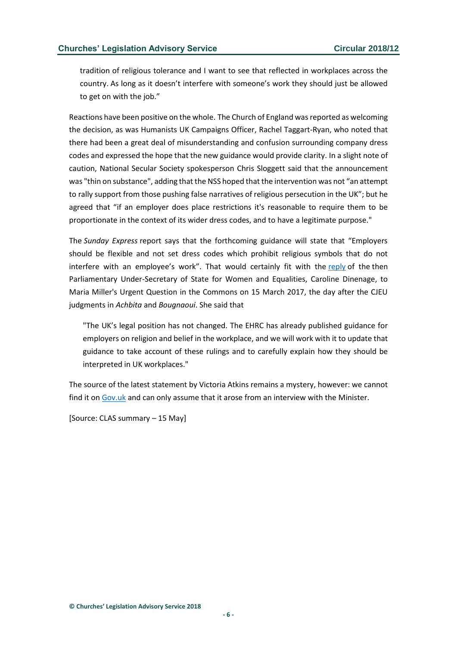tradition of religious tolerance and I want to see that reflected in workplaces across the country. As long as it doesn't interfere with someone's work they should just be allowed to get on with the job."

Reactions have been positive on the whole. The Church of England was reported as welcoming the decision, as was Humanists UK Campaigns Officer, Rachel Taggart-Ryan, who noted that there had been a great deal of misunderstanding and confusion surrounding company dress codes and expressed the hope that the new guidance would provide clarity. In a slight note of caution, National Secular Society spokesperson Chris Sloggett said that the announcement was "thin on substance", adding that the NSS hoped that the intervention was not "an attempt to rally support from those pushing false narratives of religious persecution in the UK"; but he agreed that "if an employer does place restrictions it's reasonable to require them to be proportionate in the context of its wider dress codes, and to have a legitimate purpose."

The *Sunday Express* report says that the forthcoming guidance will state that "Employers should be flexible and not set dress codes which prohibit religious symbols that do not interfere with an employee's work". That would certainly fit with the [reply](http://www.lawandreligionuk.com/2017/03/15/urgent-commons-question-on-cjeu-rulings-in-achbita-and-bougnaoui/) of the then Parliamentary Under-Secretary of State for Women and Equalities, Caroline Dinenage, to Maria Miller's Urgent Question in the Commons on 15 March 2017, the day after the CJEU judgments in *Achbita* and *Bougnaoui*. She said that

"The UK's legal position has not changed. The EHRC has already published guidance for employers on religion and belief in the workplace, and we will work with it to update that guidance to take account of these rulings and to carefully explain how they should be interpreted in UK workplaces."

The source of the latest statement by Victoria Atkins remains a mystery, however: we cannot find it o[n Gov.uk](http://gov.uk/) and can only assume that it arose from an interview with the Minister.

[Source: CLAS summary – 15 May]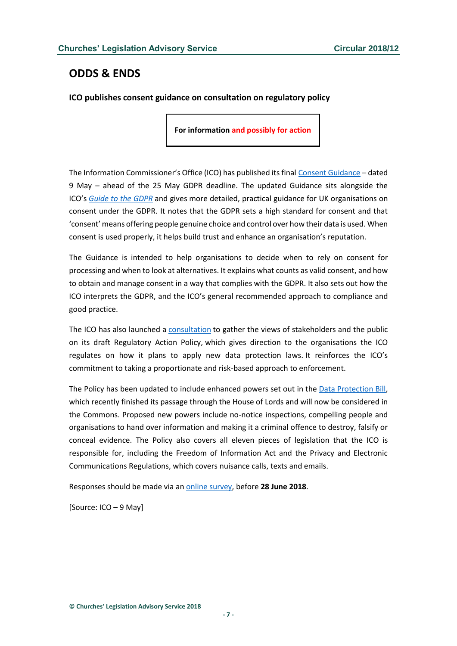# <span id="page-6-0"></span>**ODDS & ENDS**

<span id="page-6-1"></span>**ICO publishes consent guidance on consultation on regulatory policy**

**For information and possibly for action**

The Information Commissioner's Office (ICO) has published its final [Consent Guidance](https://ico.org.uk/for-organisations/guide-to-the-general-data-protection-regulation-gdpr/consent/) – dated 9 May – ahead of the 25 May GDPR deadline. The updated Guidance sits alongside the ICO's *[Guide to the GDPR](https://ico.org.uk/for-organisations/guide-to-the-general-data-protection-regulation-gdpr/)* and gives more detailed, practical guidance for UK organisations on consent under the GDPR. It notes that the GDPR sets a high standard for consent and that 'consent' means offering people genuine choice and control over how their data is used. When consent is used properly, it helps build trust and enhance an organisation's reputation.

The Guidance is intended to help organisations to decide when to rely on consent for processing and when to look at alternatives. It explains what counts as valid consent, and how to obtain and manage consent in a way that complies with the GDPR. It also sets out how the ICO interprets the GDPR, and the ICO's general recommended approach to compliance and good practice.

The ICO has also launched a [consultation](http://ico.org.uk/media/about-the-ico/consultations/2258810/ico-draft-regulatory-action-policy.pdf) to gather the views of stakeholders and the public on its draft Regulatory Action Policy, which gives direction to the organisations the ICO regulates on how it plans to apply new data protection laws. It reinforces the ICO's commitment to taking a proportionate and risk-based approach to enforcement.

The Policy has been updated to include enhanced powers set out in the [Data Protection Bill,](http://services.parliament.uk/bills/2017-19/dataprotection.html) which recently finished its passage through the House of Lords and will now be considered in the Commons. Proposed new powers include no-notice inspections, compelling people and organisations to hand over information and making it a criminal offence to destroy, falsify or conceal evidence. The Policy also covers all eleven pieces of legislation that the ICO is responsible for, including the Freedom of Information Act and the Privacy and Electronic Communications Regulations, which covers nuisance calls, texts and emails.

Responses should be made via an [online survey,](http://wh.snapsurveys.com/s.asp?k=152517671255) before **28 June 2018**.

[Source: ICO – 9 May]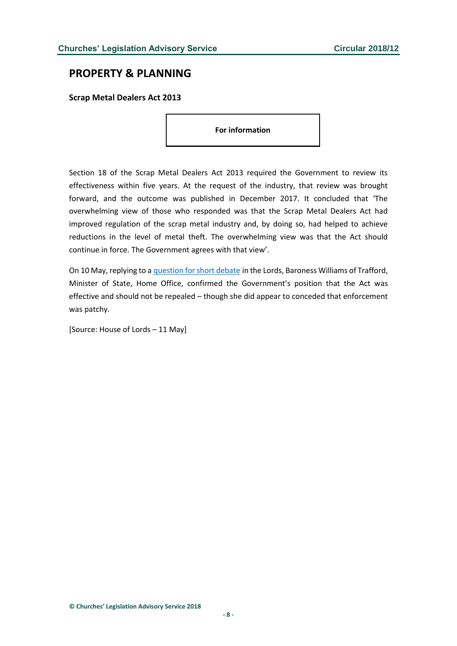### <span id="page-7-0"></span>**PROPERTY & PLANNING**

<span id="page-7-1"></span>**Scrap Metal Dealers Act 2013**

**For information**

Section 18 of the Scrap Metal Dealers Act 2013 required the Government to review its effectiveness within five years. At the request of the industry, that review was brought forward, and the outcome was published in December 2017. It concluded that 'The overwhelming view of those who responded was that the Scrap Metal Dealers Act had improved regulation of the scrap metal industry and, by doing so, had helped to achieve reductions in the level of metal theft. The overwhelming view was that the Act should continue in force. The Government agrees with that view'.

On 10 May, replying to a [question for short debate](https://hansard.parliament.uk/lords/2018-05-10/debates/8F16D676-55CC-4AED-BAA8-A4D8B27BA11B/ScrapMetalDealersAct2013) in the Lords, Baroness Williams of Trafford, Minister of State, Home Office, confirmed the Government's position that the Act was effective and should not be repealed – though she did appear to conceded that enforcement was patchy.

[Source: House of Lords – 11 May]